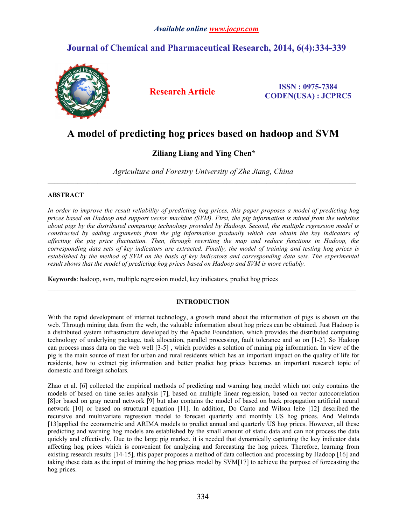# **Journal of Chemical and Pharmaceutical Research, 2014, 6(4):334-339**



**Research Article ISSN : 0975-7384 CODEN(USA) : JCPRC5**

# **A model of predicting hog prices based on hadoop and SVM**

# **Ziliang Liang and Ying Chen\***

*Agriculture and Forestry University of Zhe Jiang, China*

 $\mathcal{L}_\mathcal{L} = \mathcal{L}_\mathcal{L}$ 

# **ABSTRACT**

In order to improve the result reliability of predicting hog prices, this paper proposes a model of predicting hog prices based on Hadoop and support vector machine (SVM). First, the pig information is mined from the websites *about pigs by the distributed computing technology provided by Hadoop. Second, the multiple regression model is constructed by adding arguments from the pig information gradually which can obtain the key indicators of affecting the pig price fluctuation. Then, through rewriting the map and reduce functions in Hadoop, the* corresponding data sets of key indicators are extracted. Finally, the model of training and testing hog prices is established by the method of SVM on the basis of key indicators and corresponding data sets. The experimental *result shows that the model of predicting hog prices based on Hadoop and SVM is more reliably.*

**Keywords**: hadoop, svm, multiple regression model, key indicators, predict hog prices

# **INTRODUCTION**

With the rapid development of internet technology, a growth trend about the information of pigs is shown on the web. Through mining data from the web, the valuable information about hog prices can be obtained. Just Hadoop is a distributed system infrastructure developed by the Apache Foundation, which provides the distributed computing technology of underlying package, task allocation, parallel processing, fault tolerance and so on [1-2]. So Hadoop can process mass data on the web well [3-5] , which provides a solution of mining pig information. In view of the pig is the main source of meat for urban and rural residents which has an important impact on the quality of life for residents, how to extract pig information and better predict hog prices becomes an important research topic of domestic and foreign scholars.

Zhao et al. [6] collected the empirical methods of predicting and warning hog model which not only contains the models of based on time series analysis [7], based on multiple linear regression, based on vector autocorrelation [8]or based on gray neural network [9] but also contains the model of based on back propagation artificial neural network [10] or based on structural equation [11]. In addition, Do Canto and Wilson leite [12] described the recursive and multivariate regression model to forecast quarterly and monthly US hog prices. And Melinda [13]applied the econometric and ARIMA models to predict annual and quarterly US hog prices. However, all these predicting and warning hog models are established by the small amount of static data and can not process the data quickly and effectively. Due to the large pig market, itis needed that dynamically capturing the key indicator data affecting hog prices which is convenient for analyzing and forecasting the hog prices. Therefore, learning from existing research results [14-15], this paper proposes a method of data collection and processing by Hadoop [16] and taking these data asthe input of training the hog prices model by SVM[17] to achieve the purpose of forecasting the hog prices.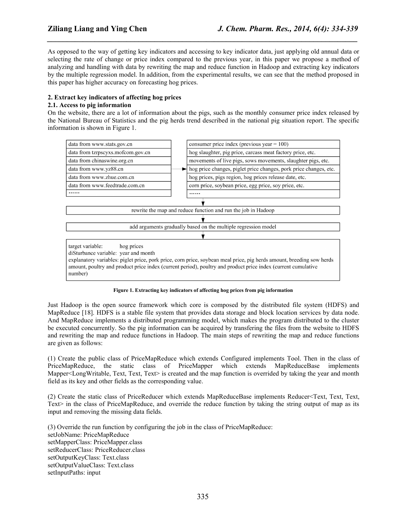As opposed to the way of getting key indicators and accessing to key indicator data, just applying old annual data or selecting the rate of change or price index compared to the previous year, in this paper we propose a method of analyzing and handling with data by rewriting the map and reduce function in Hadoop and extracting key indicators by the multiple regression model. In addition, from the experimental results, we can see that the method proposed in this paper has higher accuracy on forecasting hog prices.

*\_\_\_\_\_\_\_\_\_\_\_\_\_\_\_\_\_\_\_\_\_\_\_\_\_\_\_\_\_\_\_\_\_\_\_\_\_\_\_\_\_\_\_\_\_\_\_\_\_\_\_\_\_\_\_\_\_\_\_\_\_\_\_\_\_\_\_\_\_\_\_\_\_\_\_\_\_\_*

# **2. Extract key indicators of affecting hog prices**

# **2.1. Access to pig information**

On the website, there are a lot of information about the pigs, such as the monthly consumer price index released by the National Bureau of Statistics and the pig herds trend described in the national pig situation report. The specific information is shown in Figure 1.



# **Figure 1. Extracting key indicators ofaffecting hog prices from pig information**

Just Hadoop is the open source framework which core is composed by the distributed file system (HDFS) and MapReduce [18]. HDFS is a stable file system that provides data storage and block location services by data node. And MapReduce implements a distributed programming model, which makes the program distributed to the cluster be executed concurrently. So the pig information can be acquired by transfering the files from the website to HDFS and rewriting the map and reduce functions in Hadoop. The main steps of rewriting the map and reduce functions are given as follows:

(1) Create the public class of PriceMapReduce which extends Configured implements Tool. Then in the class of PriceMapReduce, the static class of PriceMapper which extends MapReduceBase implements Mapper<LongWritable, Text, Text, Text $\geq$  is created and the map function is overrided by taking the year and month field as its key and other fields as the corresponding value.

(2) Create the static class of PriceReducer which extends MapReduceBase implements Reducer<Text, Text, Text, Text $>$  in the class of PriceMapReduce, and override the reduce function by taking the string output of map as its input and removing the missing data fields.

(3) Override the run function by configuring the job in the class of PriceMapReduce: setJobName: PriceMapReduce setMapperClass: PriceMapper.class setReducerClass: PriceReducer.class setOutputKeyClass: Text.class setOutputValueClass: Text.class setInputPaths: input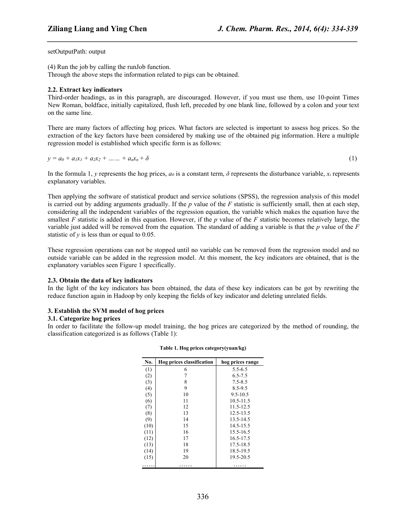*\_\_\_\_\_\_\_\_\_\_\_\_\_\_\_\_\_\_\_\_\_\_\_\_\_\_\_\_\_\_\_\_\_\_\_\_\_\_\_\_\_\_\_\_\_\_\_\_\_\_\_\_\_\_\_\_\_\_\_\_\_\_\_\_\_\_\_\_\_\_\_\_\_\_\_\_\_\_*

setOutputPath: output

(4) Run the job by calling the runJob function.

Through the above steps the information related to pigs can be obtained.

#### **2.2. Extract key indicators**

Third-order headings, as in this paragraph, are discouraged. However, if you must use them, use 10-point Times New Roman, boldface, initially capitalized, flush left, preceded by one blank line, followed by a colon and your text on the same line.

There are many factors of affecting hog prices. What factors are selected is important to assess hog prices. So the extraction of the key factors have been considered by making use of the obtained pig information. Here a multiple regression model is established which specific form is as follows:

 $y = a_0 + a_1x_1 + a_2x_2 + \ldots + a_nx_n + \delta$  (1)

In the formula 1, *y* represents the hog prices,  $a_0$  is a constant term,  $\delta$  represents the disturbance variable,  $x_i$  represents explanatory variables.

Then applying the software of statistical product and service solutions (SPSS), the regression analysis of this model is carried out by adding arguments gradually. If the *p* value of the *F* statistic is sufficiently small, then at each step, considering all the independent variables of the regression equation, the variable which makes the equation have the smallest  $F$  statistic is added in this equation. However, if the  $p$  value of the  $F$  statistic becomes relatively large, the variable just added will be removed from the equation. The standard of adding a variable is that the *p* value of the *F* statistic of  $\nu$  is less than or equal to 0.05.

These regression operations can not be stopped until no variable can be removed from the regression model and no outside variable can be added in the regression model. At this moment, the key indicators are obtained, that is the explanatory variables seen Figure 1 specifically.

#### **2.3. Obtain the data of key indicators**

In the light of the key indicators has been obtained, the data of these key indicators can be got by rewriting the reduce function again in Hadoop by only keeping the fields of key indicator and deleting unrelated fields.

#### **3. Establish the SVM model of hog prices**

#### **3.1. Categorize hog prices**

In order to facilitate the follow-up model training, the hog prices are categorized by the method of rounding, the classification categorized is as follows (Table 1):

| No.  | Hog prices classification | hog prices range |
|------|---------------------------|------------------|
| (1)  | 6                         | $5.5 - 6.5$      |
| (2)  |                           | $6.5 - 7.5$      |
| (3)  | 8                         | $7.5 - 8.5$      |
| (4)  | 9                         | $8.5 - 9.5$      |
| (5)  | 10                        | $9.5 - 10.5$     |
| (6)  | 11                        | $10.5 - 11.5$    |
| (7)  | 12                        | $11.5 - 12.5$    |
| (8)  | 13                        | $12.5 - 13.5$    |
| (9)  | 14                        | 13.5-14.5        |
| (10) | 15                        | 14.5-15.5        |
| (11) | 16                        | 15.5-16.5        |
| (12) | 17                        | $16.5 - 17.5$    |
| (13) | 18                        | 17.5-18.5        |
| (14) | 19                        | 18.5-19.5        |
| (15) | 20                        | 19.5-20.5        |
| .    | .                         | .                |

**Table 1. Hog prices category(yuan/kg)**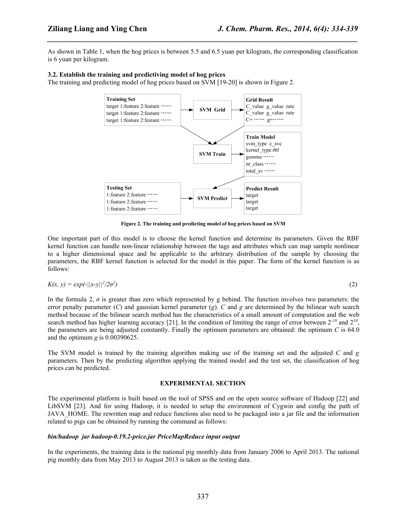As shown in Table 1, when the hog prices is between 5.5 and 6.5 yuan per kilogram, the corresponding classification is 6 yuan per kilogram.

*\_\_\_\_\_\_\_\_\_\_\_\_\_\_\_\_\_\_\_\_\_\_\_\_\_\_\_\_\_\_\_\_\_\_\_\_\_\_\_\_\_\_\_\_\_\_\_\_\_\_\_\_\_\_\_\_\_\_\_\_\_\_\_\_\_\_\_\_\_\_\_\_\_\_\_\_\_\_*

# **3.2. Establish the training and predictiving model of hog prices**

The training and predicting model of hog prices based on SVM [19-20] is shown in Figure 2.



**Figure 2. The training and predicting model of hog prices based on SVM**

One important part of this model is to choose the kernel function and determine its parameters. Given the RBF kernel function can handle non-linear relationship between the tags and attributes which can map sample nonlinear to a higher dimensional space and be applicable to the arbitrary distribution of the sample by choosing the parameters, the RBF kernel function is selected for the model in this paper. The form of the kernel function is as follows:

$$
K(x, y) = \exp(-||x-y||^2/2\sigma^2) \tag{2}
$$

In the formula 2,  $\sigma$  is greater than zero which represented by g behind. The function involves two parameters: the error penalty parameter (*C*) and gaussian kernel parameter (*g*). *C* and *g* are determined by the bilinear web search method because of the bilinear search method has the characteristics of a small amount of computation and the web search method has higher learning accuracy [21]. In the condition of limiting the range of error between  $2^{-10}$  and  $2^{10}$ , ,  $\frac{1}{2}$ the parameters are being adjusted constantly. Finally the optimum parameters are obtained: the optimum *C* is 64.0 and the optimum *g* is 0.00390625.

The SVM model is trained by the training algorithm making use of the training set and the adjusted *C* and *g* parameters. Then by the predicting algorithm applying the trained model and the test set, the classification of hog prices can be predicted.

# **EXPERIMENTAL SECTION**

The experimental platform is built based on the tool of SPSS and on the open source software of Hadoop [22] and LibSVM [23]. And for using Hadoop, it is needed to setup the environment of Cygwin and config the path of JAVA HOME. The rewritten map and reduce functions also need to be packaged into a jar file and the information related to pigs can be obtained by running the command as follows:

# *bin/hadoop jar hadoop-0.19.2-price.jar PriceMapReduce input output*

In the experiments, the training data is the national pig monthly data from January 2006 to April 2013. The national pig monthly data from May 2013 to August 2013 is taken as the testing data.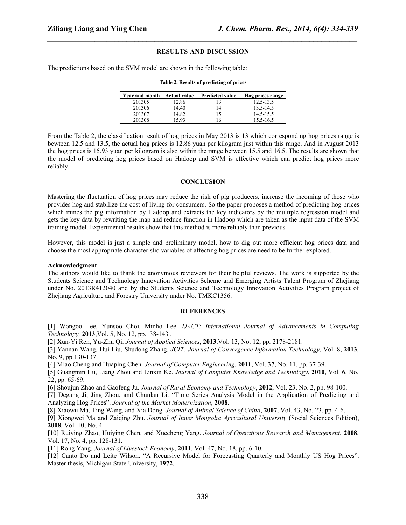# **RESULTS AND DISCUSSION**

*\_\_\_\_\_\_\_\_\_\_\_\_\_\_\_\_\_\_\_\_\_\_\_\_\_\_\_\_\_\_\_\_\_\_\_\_\_\_\_\_\_\_\_\_\_\_\_\_\_\_\_\_\_\_\_\_\_\_\_\_\_\_\_\_\_\_\_\_\_\_\_\_\_\_\_\_\_\_*

The predictions based on the SVM model are shown in the following table:

#### **Table 2. Results of predicting of prices**

| <b>Year and month</b> | <b>Actual value</b> | <b>Predicted value</b> | Hog prices range |
|-----------------------|---------------------|------------------------|------------------|
| 201305                | 12.86               |                        | $12.5 - 13.5$    |
| 201306                | 14.40               | 14                     | $13.5 - 14.5$    |
| 201307                | 14.82               |                        | $14.5 - 15.5$    |
| 201308                | 15.93               | 16                     | $15.5 - 16.5$    |

From the Table 2, the classification result of hog prices in May 2013 is 13 which corresponding hog prices range is bewteen 12.5 and 13.5, the actual hog prices is 12.86 yuan per kilogram just within this range. And in August 2013 the hog prices is 15.93 yuan per kilogram is also within the range between 15.5 and 16.5. The results are shown that the model of predicting hog prices based on Hadoop and SVM is effective which can predict hog prices more reliably.

#### **CONCLUSION**

Mastering the fluctuation of hog prices may reduce the risk of pig producers, increase the incoming of those who provides hog and stabilize the cost of living for consumers. So the paper proposes a method of predicting hog prices which mines the pig information by Hadoop and extracts the key indicators by the multiple regression model and gets the key data by rewriting the map and reduce function in Hadoop which are taken as the input data of the SVM training model. Experimental results show that this method is more reliably than previous.

However, this model is just a simple and preliminary model, how to dig out more efficient hog prices data and choose the most appropriate characteristic variables of affecting hog prices are need to be further explored.

#### **Acknowledgment**

The authors would like to thank the anonymous reviewers for their helpful reviews. The work is supported by the Students Science and Technology Innovation Activities Scheme and Emerging Artists Talent Program of Zhejiang under No. 2013R412040 and by the Students Science and Technology Innovation Activities Program project of Zhejiang Agriculture and Forestry University under No. TMKC1356.

#### **REFERENCES**

[1] Wongoo Lee, Yunsoo Choi, Minho Lee. *IJACT: International Journal of Advancements in Computing Technology,* **2013**,Vol. 5, No. 12, pp.138-143 .

[2] Xun-Yi Ren, Yu-Zhu Qi. *Journal of Applied Sciences*, **2013**,Vol. 13, No. 12, pp. 2178-2181.

[3] Yannan Wang, Hui Liu, Shudong Zhang. *JCIT: Journal of Convergence Information Technology*, Vol. 8, **2013**, No. 9, pp.130-137.

[4] Miao Cheng and Huaping Chen. *Journal of Computer Engineering*, **2011**, Vol. 37, No. 11, pp. 37-39.

[5] Guangmin Hu, Liang Zhou and Linxin Ke. *Journal of Computer Knowledge and Technology*, **2010**, Vol. 6, No. 22, pp. 65-69.

[6] Shoujun Zhao and Gaofeng Ju. *Journal of Rural Economy and Technology*, **2012**, Vol. 23, No. 2, pp. 98-100.

[7] Degang Ji, Jing Zhou, and Chunlan Li. "Time Series Analysis Model in the Application of Predicting and Analyzing Hog Prices". *Journal of the Market Modernization*, 2008.

[8] Xiaowu Ma, Ting Wang, and Xia Dong. *Journal of Animal Science of China*, **2007**, Vol. 43, No. 23, pp. 4-6.

[9] Xiongwei Ma and Zaiqing Zhu. *Journal of Inner Mongolia Agricultural University* (Social Sciences Edition), **2008**, Vol. 10, No. 4.

[10] Ruiying Zhao, Huiying Chen, and Xuecheng Yang. *Journal of Operations Research and Management*, **2008**, Vol. 17, No. 4, pp. 128-131.

[11] Rong Yang. *Journal of Livestock Economy*, **2011**, Vol. 47, No. 18, pp. 6-10.

[12] Canto Do and Leite Wilson. "A Recursive Model for Forecasting Quarterly and Monthly US Hog Prices". Master thesis, Michigan State University, **1972**.